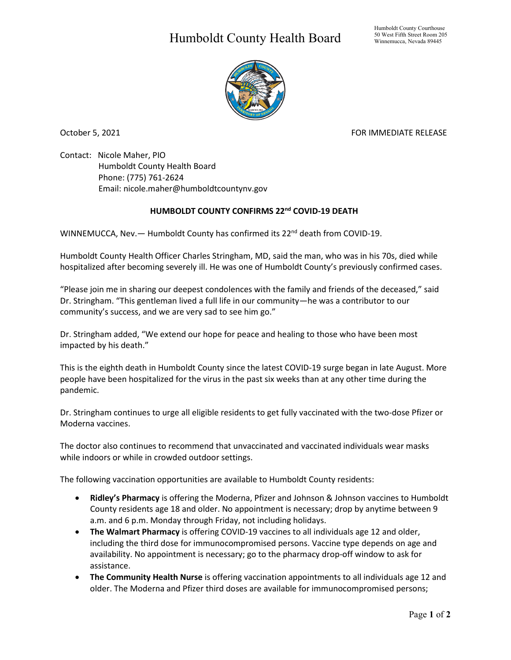## Humboldt County Health Board



October 5, 2021 FOR IMMEDIATE RELEASE

Contact: Nicole Maher, PIO Humboldt County Health Board Phone: (775) 761-2624 Email: nicole.maher@humboldtcountynv.gov

## **HUMBOLDT COUNTY CONFIRMS 22nd COVID-19 DEATH**

WINNEMUCCA, Nev. - Humboldt County has confirmed its 22<sup>nd</sup> death from COVID-19.

Humboldt County Health Officer Charles Stringham, MD, said the man, who was in his 70s, died while hospitalized after becoming severely ill. He was one of Humboldt County's previously confirmed cases.

"Please join me in sharing our deepest condolences with the family and friends of the deceased," said Dr. Stringham. "This gentleman lived a full life in our community—he was a contributor to our community's success, and we are very sad to see him go."

Dr. Stringham added, "We extend our hope for peace and healing to those who have been most impacted by his death."

This is the eighth death in Humboldt County since the latest COVID-19 surge began in late August. More people have been hospitalized for the virus in the past six weeks than at any other time during the pandemic.

Dr. Stringham continues to urge all eligible residents to get fully vaccinated with the two-dose Pfizer or Moderna vaccines.

The doctor also continues to recommend that unvaccinated and vaccinated individuals wear masks while indoors or while in crowded outdoor settings.

The following vaccination opportunities are available to Humboldt County residents:

- **Ridley's Pharmacy** is offering the Moderna, Pfizer and Johnson & Johnson vaccines to Humboldt County residents age 18 and older. No appointment is necessary; drop by anytime between 9 a.m. and 6 p.m. Monday through Friday, not including holidays.
- **The Walmart Pharmacy** is offering COVID-19 vaccines to all individuals age 12 and older, including the third dose for immunocompromised persons. Vaccine type depends on age and availability. No appointment is necessary; go to the pharmacy drop-off window to ask for assistance.
- **The Community Health Nurse** is offering vaccination appointments to all individuals age 12 and older. The Moderna and Pfizer third doses are available for immunocompromised persons;